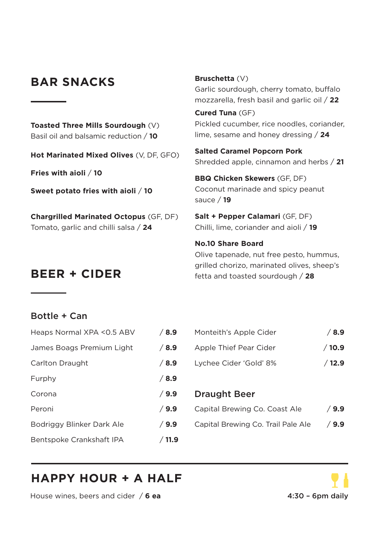### **BAR SNACKS**

**Toasted Three Mills Sourdough** (V) Basil oil and balsamic reduction / **10**

**Hot Marinated Mixed Olives** (V, DF, GFO)

**Fries with aioli** / **10**

**Sweet potato fries with aioli** / **10**

**Chargrilled Marinated Octopus** (GF, DF) Tomato, garlic and chilli salsa / **24**

#### **Bruschetta** (V)

Garlic sourdough, cherry tomato, buffalo mozzarella, fresh basil and garlic oil / **22**

**Cured Tuna** (GF) Pickled cucumber, rice noodles, coriander, lime, sesame and honey dressing / **24**

**Salted Caramel Popcorn Pork** Shredded apple, cinnamon and herbs / **21**

**BBQ Chicken Skewers** (GF, DF) Coconut marinade and spicy peanut sauce / **19**

**Salt + Pepper Calamari** (GF, DF) Chilli, lime, coriander and aioli / **19**

**No.10 Share Board** Olive tapenade, nut free pesto, hummus, grilled chorizo, marinated olives, sheep's **BEER + CIDER** fetta and toasted sourdough / **<sup>28</sup>**

### Bottle + Can

| Heaps Normal XPA < 0.5 ABV | /8.9  |
|----------------------------|-------|
| James Boags Premium Light  | /8.9  |
| Carlton Draught            | /8.9  |
| Furphy                     | /8.9  |
| Corona                     | /9.9  |
| Peroni                     | /9.9  |
| Bodriggy Blinker Dark Ale  | /9.9  |
| Bentspoke Crankshaft IPA   | /11.9 |

| Heaps Normal XPA < 0.5 ABV | / 8.9 | Monteith's Apple Cider | / 8.9 |
|----------------------------|-------|------------------------|-------|
| James Boags Premium Light  | /8.9  | Apple Thief Pear Cider | /10.9 |
| Carlton Draught            | /8.9  | Lychee Cider 'Gold' 8% | /12.9 |

#### **P.** Draught Beer

| Peroni                    | $\sqrt{9.9}$ | Capital Brewing Co. Coast Ale      | /9.9         |
|---------------------------|--------------|------------------------------------|--------------|
| Bodriggy Blinker Dark Ale | <b>6.9</b> ⁄ | Capital Brewing Co. Trail Pale Ale | <b>⁄</b> 9.9 |

# **HAPPY HOUR + A HALF**

House wines, beers and cider / **6 ea** 4:30 – 6pm daily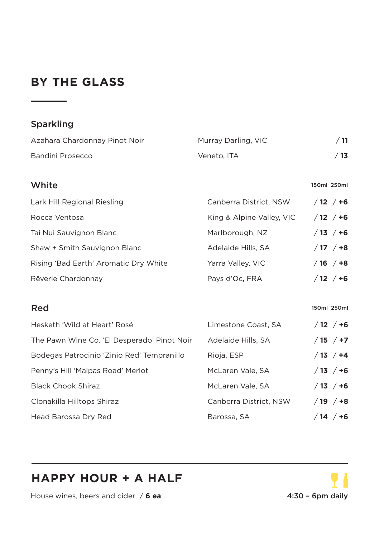# **BY THE GLASS**

### Sparkling

| Azahara Chardonnay Pinot Noir | Murray Darling, VIC |     |
|-------------------------------|---------------------|-----|
| Bandini Prosecco              | Veneto. ITA         | /13 |

#### White is a state of the state of the state of the state of the state of the state of the state of the state of the state of the state of the state of the state of the state of the state of the state of the state of the sta

| Lark Hill Regional Riesling           | Canberra District, NSW    | $/12 / +6$      |
|---------------------------------------|---------------------------|-----------------|
| Rocca Ventosa                         | King & Alpine Valley, VIC | $/12 / +6$      |
| Tai Nui Sauvignon Blanc               | Marlborough, NZ           | $/13 / +6$      |
| Shaw + Smith Sauvignon Blanc          | Adelaide Hills, SA        | $/17 / +8$      |
| Rising 'Bad Earth' Aromatic Dry White | Yarra Valley, VIC         | $/16$ $/ +8$    |
| Rêverie Chardonnay                    | Pays d'Oc, FRA            | $/12$ /<br>$+6$ |

### Red 150ml 250ml 250ml 250ml 250ml 250ml 250ml 250ml 250ml 250ml 250ml 250ml 250ml 250ml 250ml 250ml 250ml 250ml 250ml 250ml 250ml 250ml 250ml 250ml 250ml 250ml 250ml 250ml 250ml 250ml 250ml 250ml 250ml 250ml 250ml 250ml 25

| Hesketh 'Wild at Heart' Rosé                | Limestone Coast, SA    | $/12 / +6$  |
|---------------------------------------------|------------------------|-------------|
| The Pawn Wine Co. 'El Desperado' Pinot Noir | Adelaide Hills, SA     | $/15$ $/17$ |
| Bodegas Patrocinio 'Zinio Red' Tempranillo  | Rioja, ESP             | $/13 / +4$  |
| Penny's Hill 'Malpas Road' Merlot           | McLaren Vale, SA       | $/13 / +6$  |
| <b>Black Chook Shiraz</b>                   | McLaren Vale, SA       | $/13 / +6$  |
| Clonakilla Hilltops Shiraz                  | Canberra District, NSW | $/19$ $/18$ |
| Head Barossa Dry Red                        | Barossa, SA            | $/14$ $/16$ |

# **HAPPY HOUR + A HALF**

House wines, beers and cider / **6 ea** 4:30 - 6pm daily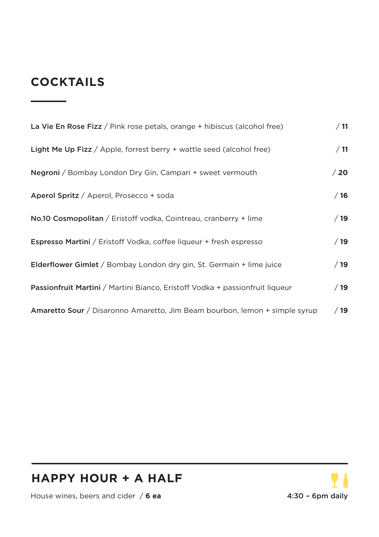# **COCKTAILS**

| La Vie En Rose Fizz / Pink rose petals, orange + hibiscus (alcohol free)      | /11  |
|-------------------------------------------------------------------------------|------|
| <b>Light Me Up Fizz</b> / Apple, forrest berry $+$ wattle seed (alcohol free) | /11  |
| Negroni / Bombay London Dry Gin, Campari + sweet vermouth                     | /20  |
| Aperol Spritz / Aperol, Prosecco + soda                                       | /16  |
| No.10 Cosmopolitan / Eristoff vodka, Cointreau, cranberry + lime              | /19  |
| <b>Espresso Martini</b> / Eristoff Vodka, coffee liqueur + fresh espresso     | /19  |
| <b>Elderflower Gimlet</b> / Bombay London dry gin, St. Germain + lime juice   | /19  |
| Passionfruit Martini / Martini Bianco, Eristoff Vodka + passionfruit liqueur  | /19  |
| Amaretto Sour / Disaronno Amaretto, Jim Beam bourbon, lemon + simple syrup    | / 19 |

### **HAPPY HOUR + A HALF**

House wines, beers and cider / **6 ea** 4:30 - 6pm daily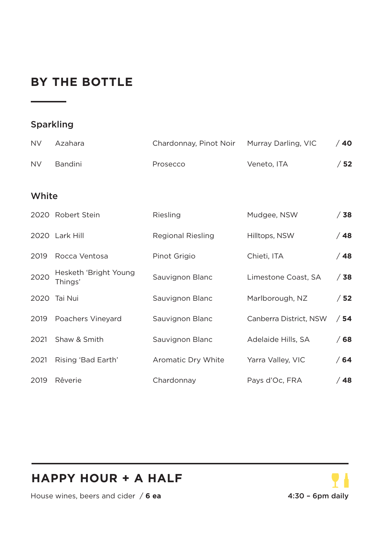# **BY THE BOTTLE**

### Sparkling

| <b>NV</b> | Azahara                          | Chardonnay, Pinot Noir   | Murray Darling, VIC    | /40  |
|-----------|----------------------------------|--------------------------|------------------------|------|
| <b>NV</b> | Bandini                          | Prosecco                 | Veneto, ITA            | /52  |
| White     |                                  |                          |                        |      |
|           | 2020 Robert Stein                | Riesling                 | Mudgee, NSW            | / 38 |
|           | 2020 Lark Hill                   | <b>Regional Riesling</b> | Hilltops, NSW          | /48  |
| 2019      | Rocca Ventosa                    | Pinot Grigio             | Chieti, ITA            | /48  |
| 2020      | Hesketh 'Bright Young<br>Thinas' | Sauvignon Blanc          | Limestone Coast, SA    | /38  |
|           | 2020 Tai Nui                     | Sauvignon Blanc          | Marlborough, NZ        | /52  |
| 2019      | Poachers Vineyard                | Sauvignon Blanc          | Canberra District, NSW | /54  |
| 2021      | Shaw & Smith                     | Sauvignon Blanc          | Adelaide Hills, SA     | / 68 |
| 2021      | Rising 'Bad Earth'               | Aromatic Dry White       | Yarra Valley, VIC      | /64  |
| 2019      | Rêverie                          | Chardonnay               | Pays d'Oc, FRA         | /48  |

# **HAPPY HOUR + A HALF**



House wines, beers and cider / **6 ea** 4:30 – 6pm daily